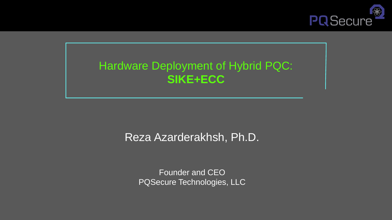

### Hardware Deployment of Hybrid PQC: **SIKE+ECC**

### Reza Azarderakhsh, Ph.D.

Founder and CEO PQSecure Technologies, LLC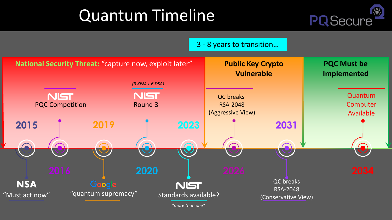# Quantum Timeline



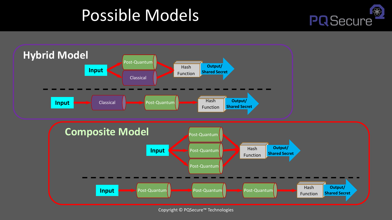## Possible Models



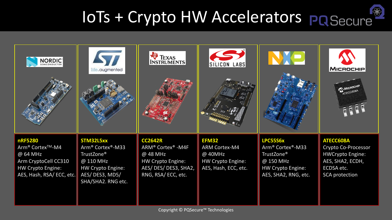# IoTs + Crypto HW Accelerators POSecure

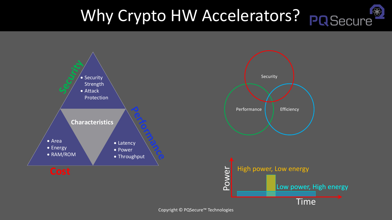### Why Crypto HW Accelerators? PRSecure  $\bigotimes$

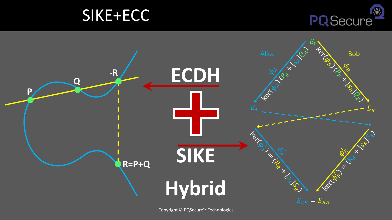



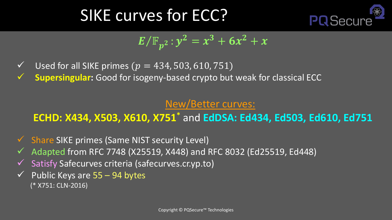## SIKE curves for ECC?



## $E/\mathbb{F}_{p^2}$  :  $y^2 = x^3 + 6x^2 + x$

- $\checkmark$  Used for all SIKE primes ( $p = 434, 503, 610, 751$ )
- **Supersingular:** Good for isogeny-based crypto but weak for classical ECC

### New/Better curves:

### **ECHD: X434, X503, X610, X751\*** and **EdDSA: Ed434, Ed503, Ed610, Ed751**

- ✓ Share SIKE primes (Same NIST security Level)
- $\checkmark$  Adapted from RFC 7748 (X25519, X448) and RFC 8032 (Ed25519, Ed448)
- ✓ Satisfy Safecurves criteria (safecurves.cr.yp.to)
- $\checkmark$  Public Keys are 55 94 bytes (\* X751: CLN-2016)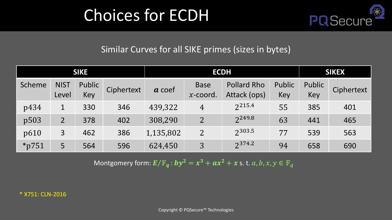## Choices for ECDH



#### Similar Curves for all SIKE primes (sizes in bytes)

| <b>SIKE</b> |                      |               |            | <b>ECDH</b> |                            |                                    |               | <b>SIKEX</b>  |            |
|-------------|----------------------|---------------|------------|-------------|----------------------------|------------------------------------|---------------|---------------|------------|
| Scheme      | <b>NIST</b><br>Level | Public<br>Key | Ciphertext | $a$ coef    | <b>Base</b><br>$x$ -coord. | <b>Pollard Rho</b><br>Attack (ops) | Public<br>Key | Public<br>Key | Ciphertext |
| p434        | 1                    | 330           | 346        | 439,322     | $\overline{4}$             | 2215.4                             | 55            | 385           | 401        |
| p503        | $\overline{2}$       | 378           | 402        | 308,290     | 2 <sup>1</sup>             | 2249.8                             | 63            | 441           | 465        |
| p610        | 3                    | 462           | 386        | 1,135,802   | $\overline{2}$             | 2303.5                             | 77            | 539           | 563        |
| $*$ p751    | 5                    | 564           | 596        | 624,450     | 3                          | 2374.2                             | 94            | 658           | 690        |

Montgomery form:  $E/\mathbb{F}_q$  :  $by^2 = x^3 + ax^2 + x$  s. t.  $a, b, x, y \in \mathbb{F}_q$ 

\* X751: CLN-2016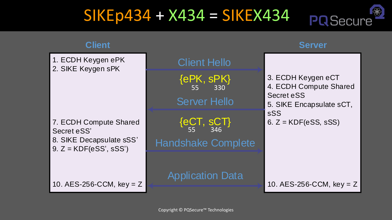#### SIKEp434 + X434 = SIKEX434 **PQSecure**

 $\frac{1}{2}$ 

| <b>Client</b>                                        |                                | <b>Server</b>                                                                          |  |  |
|------------------------------------------------------|--------------------------------|----------------------------------------------------------------------------------------|--|--|
| 1. ECDH Keygen ePK<br>2. SIKE Keygen sPK             | <b>Client Hello</b>            |                                                                                        |  |  |
|                                                      | ${ePK, sPK}$<br>55<br>330      | 3. ECDH Keygen eCT<br>4. ECDH Compute Shared<br>Secret eSS<br>5. SIKE Encapsulate sCT, |  |  |
|                                                      | <b>Server Hello</b>            |                                                                                        |  |  |
| 7. ECDH Compute Shared<br>Secret eSS'                | ${eCT, sCT}$ <sub>55</sub> 346 | sSS<br>6. $Z = KDF(ess, sSS)$                                                          |  |  |
| 8. SIKE Decapsulate sSS'<br>$9. Z = KDF(ess', sSS')$ | <b>Handshake Complete</b>      |                                                                                        |  |  |
|                                                      | <b>Application Data</b>        |                                                                                        |  |  |
| 10. $AES-256-CCM$ , key = Z                          |                                | 10. AES-256-CCM, $key = Z$                                                             |  |  |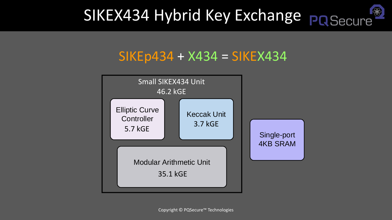### SIKEX434 Hybrid Key Exchange PQ Secure  $\bigcirc$

## $S$ IKEp434 + X434 = SIKEX434

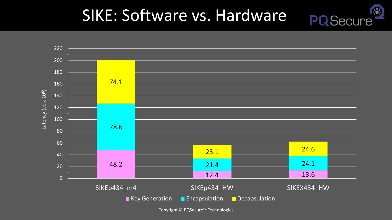#### SIKE: Software vs. Hardware **PQ**Secure

 $\bigcirc$ 

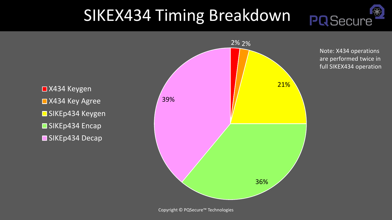## SIKEX434 Timing Breakdown

Note: X434 operations are performed twice in full SIKEX434 operation

**PQSecure** 

₩

■X434 Keygen ■X434 Key Agree ■ SIKEp434 Keygen **SIKEp434 Encap** SIKEp434 Decap